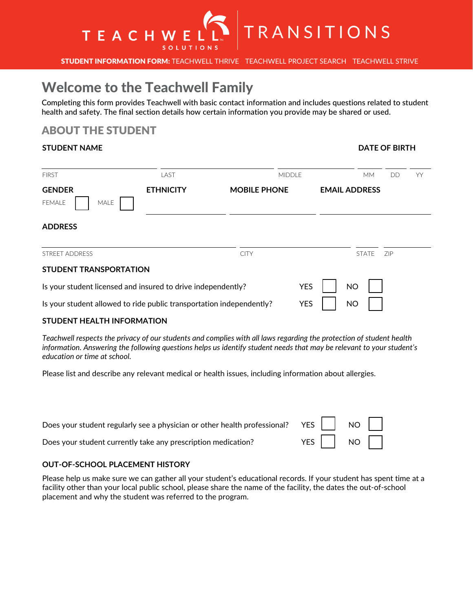

STUDENT INFORMATION FORM: TEACHWELL THRIVE TEACHWELL PROJECT SEARCH TEACHWELL STRIVE

# Welcome to the Teachwell Family

Completing this form provides Teachwell with basic contact information and includes questions related to student health and safety. The final section details how certain information you provide may be shared or used.

## ABOUT THE STUDENT

#### **STUDENT NAME**

| <b>FIRST</b>                                                         | LAST             | <b>MIDDLE</b>       |                         | <b>MM</b>                  | DD | YY |
|----------------------------------------------------------------------|------------------|---------------------|-------------------------|----------------------------|----|----|
| <b>GENDER</b><br>MALE<br>FEMALE                                      | <b>ETHNICITY</b> | <b>MOBILE PHONE</b> | <b>EMAIL ADDRESS</b>    |                            |    |    |
| <b>ADDRESS</b>                                                       |                  |                     |                         |                            |    |    |
| <b>STREET ADDRESS</b>                                                |                  | <b>CITY</b>         |                         | <b>ZIP</b><br><b>STATE</b> |    |    |
| <b>STUDENT TRANSPORTATION</b>                                        |                  |                     |                         |                            |    |    |
| Is your student licensed and insured to drive independently?         |                  |                     | <b>YES</b><br><b>NO</b> |                            |    |    |
| Is your student allowed to ride public transportation independently? |                  |                     | <b>YES</b><br><b>NO</b> |                            |    |    |

#### **STUDENT HEALTH INFORMATION**

*Teachwell respects the privacy of our students and complies with all laws regarding the protection of student health information. Answering the following questions helps us identify student needs that may be relevant to your student's education or time at school.* 

Please list and describe any relevant medical or health issues, including information about allergies.

| Does your student currently take any prescription medication? | YES $\Box$ NO |
|---------------------------------------------------------------|---------------|

#### **OUT-OF-SCHOOL PLACEMENT HISTORY**

Please help us make sure we can gather all your student's educational records. If your student has spent time at a facility other than your local public school, please share the name of the facility, the dates the out-of-school placement and why the student was referred to the program.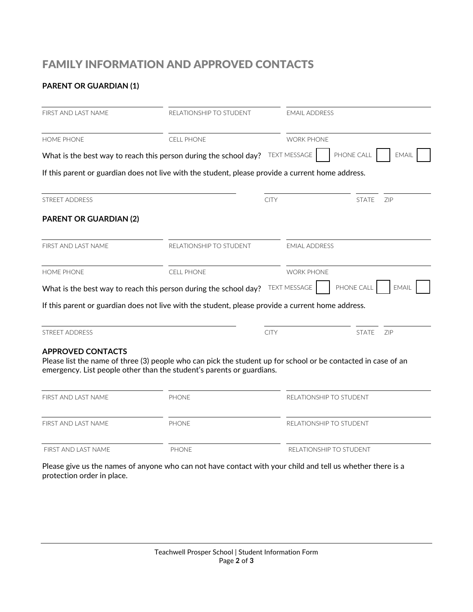## FAMILY INFORMATION AND APPROVED CONTACTS

## **PARENT OR GUARDIAN (1)**

| FIRST AND LAST NAME           | RELATIONSHIP TO STUDENT<br><b>CELL PHONE</b>                                                                                                                                           |             | <b>EMAIL ADDRESS</b><br><b>WORK PHONE</b> |                            |  |
|-------------------------------|----------------------------------------------------------------------------------------------------------------------------------------------------------------------------------------|-------------|-------------------------------------------|----------------------------|--|
| <b>HOME PHONE</b>             |                                                                                                                                                                                        |             |                                           |                            |  |
|                               | What is the best way to reach this person during the school day?                                                                                                                       |             | <b>TEXT MESSAGE</b>                       | PHONE CALL<br><b>EMAIL</b> |  |
|                               | If this parent or guardian does not live with the student, please provide a current home address.                                                                                      |             |                                           |                            |  |
| <b>STREET ADDRESS</b>         |                                                                                                                                                                                        | <b>CITY</b> |                                           | <b>STATE</b><br>ZIP        |  |
| <b>PARENT OR GUARDIAN (2)</b> |                                                                                                                                                                                        |             |                                           |                            |  |
| FIRST AND LAST NAME           | RELATIONSHIP TO STUDENT                                                                                                                                                                |             | <b>EMIAL ADDRESS</b>                      |                            |  |
| <b>HOME PHONE</b>             | <b>CELL PHONE</b>                                                                                                                                                                      |             | <b>WORK PHONE</b>                         |                            |  |
|                               | What is the best way to reach this person during the school day? TEXT MESSAGE                                                                                                          |             |                                           | PHONE CALL<br><b>EMAIL</b> |  |
|                               | If this parent or guardian does not live with the student, please provide a current home address.                                                                                      |             |                                           |                            |  |
| <b>STREET ADDRESS</b>         |                                                                                                                                                                                        | <b>CITY</b> |                                           | <b>STATE</b><br>ZIP        |  |
| <b>APPROVED CONTACTS</b>      | Please list the name of three (3) people who can pick the student up for school or be contacted in case of an<br>emergency. List people other than the student's parents or guardians. |             |                                           |                            |  |
| FIRST AND LAST NAME           | <b>PHONE</b>                                                                                                                                                                           |             | RELATIONSHIP TO STUDENT                   |                            |  |
| FIRST AND LAST NAME           | <b>PHONE</b>                                                                                                                                                                           |             | RELATIONSHIP TO STUDENT                   |                            |  |
| FIRST AND LAST NAME           | PHONE                                                                                                                                                                                  |             | RELATIONSHIP TO STUDENT                   |                            |  |

Please give us the names of anyone who can not have contact with your child and tell us whether there is a protection order in place.